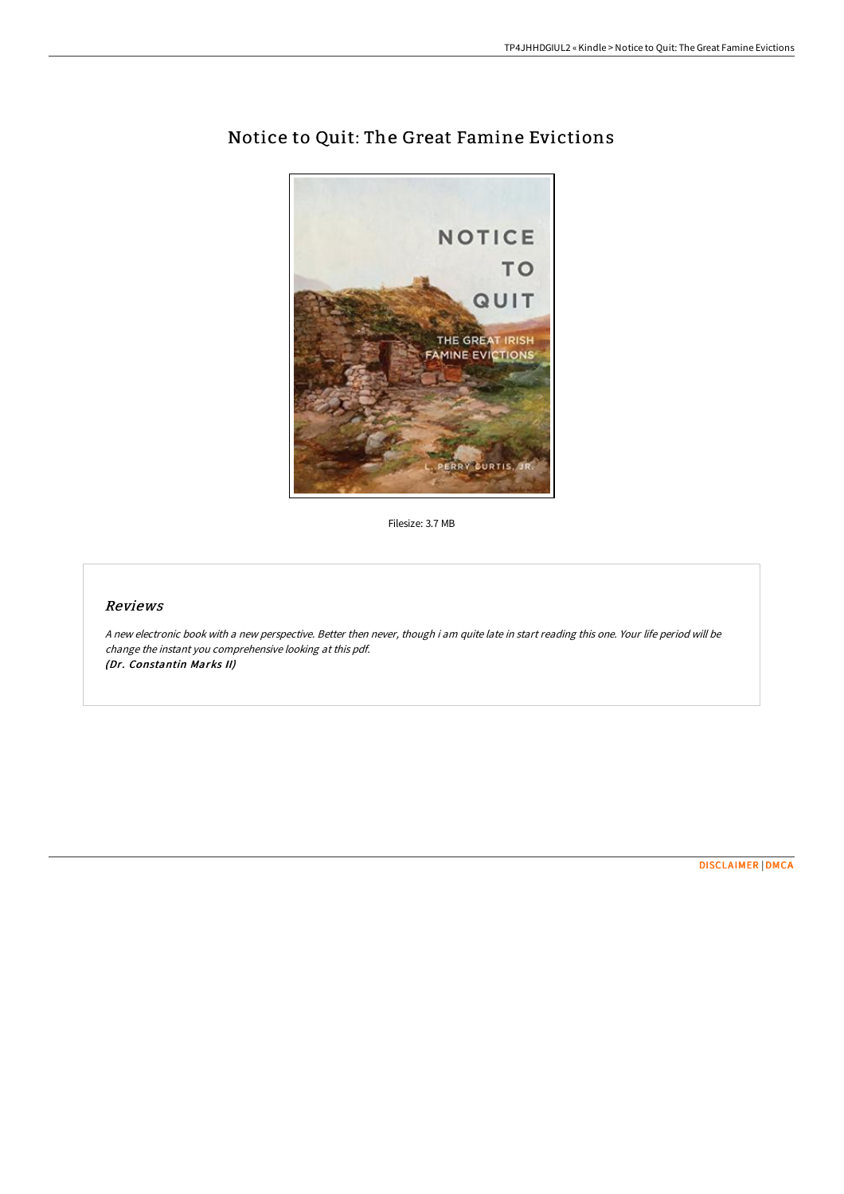

# Notice to Quit: The Great Famine Evictions

Filesize: 3.7 MB

## Reviews

<sup>A</sup> new electronic book with <sup>a</sup> new perspective. Better then never, though i am quite late in start reading this one. Your life period will be change the instant you comprehensive looking at this pdf. (Dr. Constantin Marks II)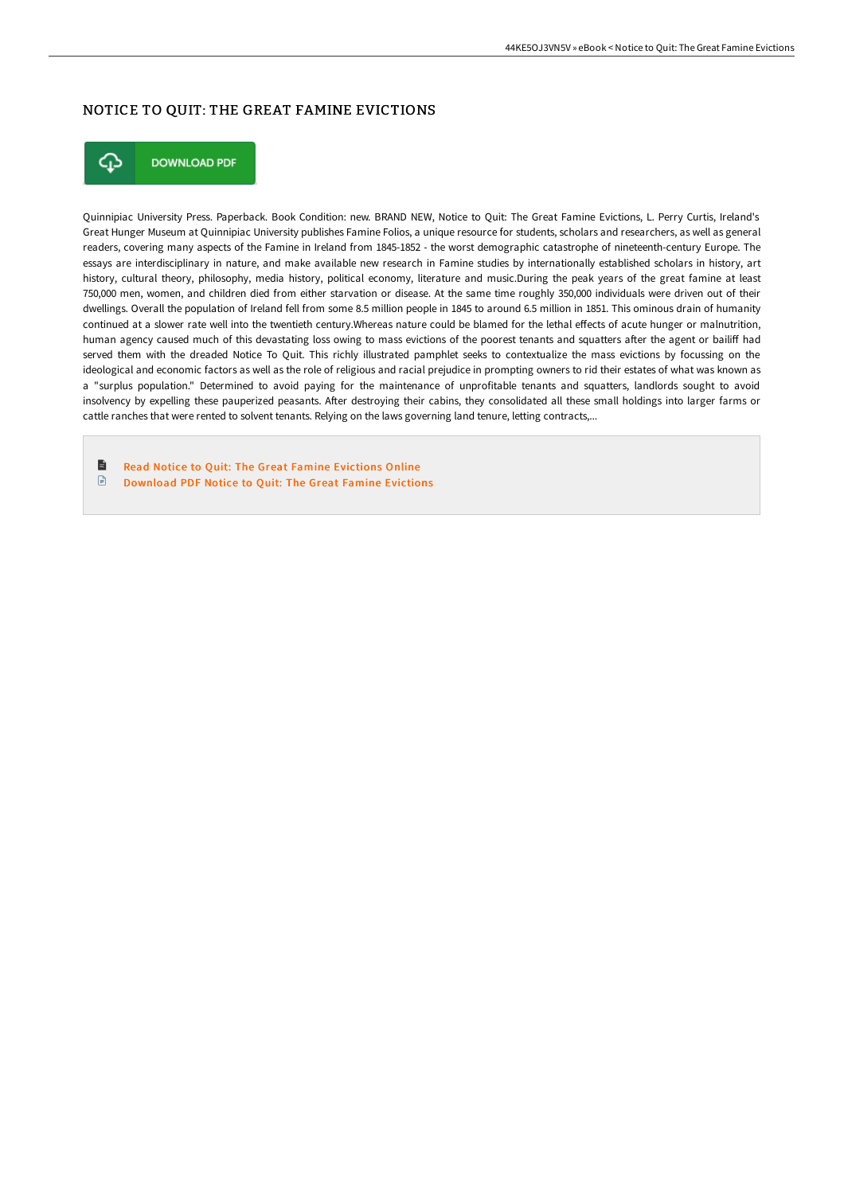### NOTICE TO QUIT: THE GREAT FAMINE EVICTIONS



**DOWNLOAD PDF** 

Quinnipiac University Press. Paperback. Book Condition: new. BRAND NEW, Notice to Quit: The Great Famine Evictions, L. Perry Curtis, Ireland's Great Hunger Museum at Quinnipiac University publishes Famine Folios, a unique resource for students, scholars and researchers, as well as general readers, covering many aspects of the Famine in Ireland from 1845-1852 - the worst demographic catastrophe of nineteenth-century Europe. The essays are interdisciplinary in nature, and make available new research in Famine studies by internationally established scholars in history, art history, cultural theory, philosophy, media history, political economy, literature and music.During the peak years of the great famine at least 750,000 men, women, and children died from either starvation or disease. At the same time roughly 350,000 individuals were driven out of their dwellings. Overall the population of Ireland fell from some 8.5 million people in 1845 to around 6.5 million in 1851. This ominous drain of humanity continued at a slower rate well into the twentieth century.Whereas nature could be blamed for the lethal effects of acute hunger or malnutrition, human agency caused much of this devastating loss owing to mass evictions of the poorest tenants and squatters after the agent or bailiff had served them with the dreaded Notice To Quit. This richly illustrated pamphlet seeks to contextualize the mass evictions by focussing on the ideological and economic factors as well as the role of religious and racial prejudice in prompting owners to rid their estates of what was known as a "surplus population." Determined to avoid paying for the maintenance of unprofitable tenants and squatters, landlords sought to avoid insolvency by expelling these pauperized peasants. AHer destroying their cabins, they consolidated all these small holdings into larger farms or cattle ranches that were rented to solvent tenants. Relying on the laws governing land tenure, letting contracts,...

B Read Notice to Quit: The Great Famine [Evictions](http://techno-pub.tech/notice-to-quit-the-great-famine-evictions.html) Online [Download](http://techno-pub.tech/notice-to-quit-the-great-famine-evictions.html) PDF Notice to Quit: The Great Famine Evictions